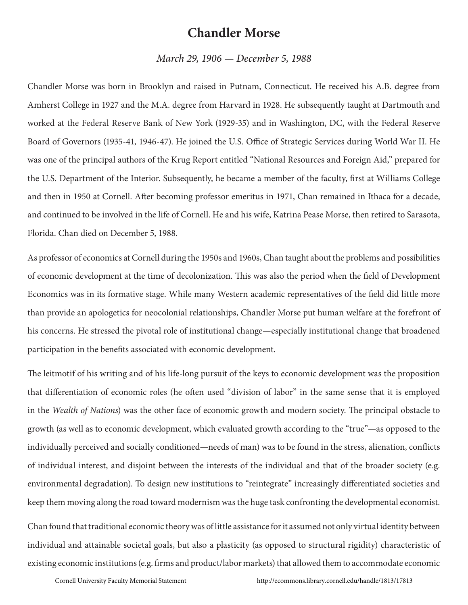## **Chandler Morse**

## *March 29, 1906 — December 5, 1988*

Chandler Morse was born in Brooklyn and raised in Putnam, Connecticut. He received his A.B. degree from Amherst College in 1927 and the M.A. degree from Harvard in 1928. He subsequently taught at Dartmouth and worked at the Federal Reserve Bank of New York (1929-35) and in Washington, DC, with the Federal Reserve Board of Governors (1935-41, 1946-47). He joined the U.S. Office of Strategic Services during World War II. He was one of the principal authors of the Krug Report entitled "National Resources and Foreign Aid," prepared for the U.S. Department of the Interior. Subsequently, he became a member of the faculty, first at Williams College and then in 1950 at Cornell. After becoming professor emeritus in 1971, Chan remained in Ithaca for a decade, and continued to be involved in the life of Cornell. He and his wife, Katrina Pease Morse, then retired to Sarasota, Florida. Chan died on December 5, 1988.

As professor of economics at Cornell during the 1950s and 1960s, Chan taught about the problems and possibilities of economic development at the time of decolonization. This was also the period when the field of Development Economics was in its formative stage. While many Western academic representatives of the field did little more than provide an apologetics for neocolonial relationships, Chandler Morse put human welfare at the forefront of his concerns. He stressed the pivotal role of institutional change—especially institutional change that broadened participation in the benefits associated with economic development.

The leitmotif of his writing and of his life-long pursuit of the keys to economic development was the proposition that differentiation of economic roles (he often used "division of labor" in the same sense that it is employed in the *Wealth of Nations*) was the other face of economic growth and modern society. The principal obstacle to growth (as well as to economic development, which evaluated growth according to the "true"—as opposed to the individually perceived and socially conditioned—needs of man) was to be found in the stress, alienation, conflicts of individual interest, and disjoint between the interests of the individual and that of the broader society (e.g. environmental degradation). To design new institutions to "reintegrate" increasingly differentiated societies and keep them moving along the road toward modernism was the huge task confronting the developmental economist.

Chan found that traditional economic theory was of little assistance for it assumed not only virtual identity between individual and attainable societal goals, but also a plasticity (as opposed to structural rigidity) characteristic of existing economic institutions (e.g. firms and product/labor markets) that allowed them to accommodate economic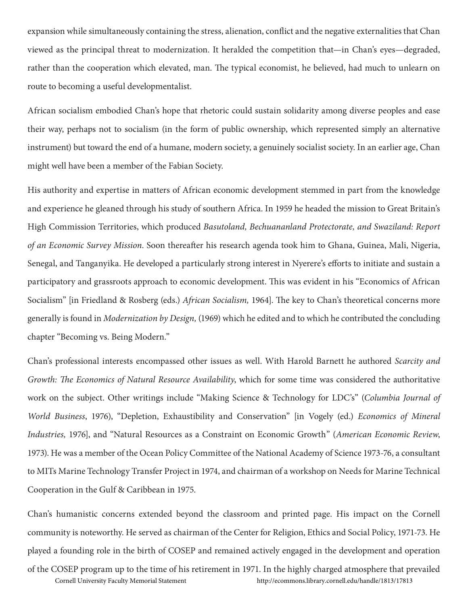expansion while simultaneously containing the stress, alienation, conflict and the negative externalities that Chan viewed as the principal threat to modernization. It heralded the competition that—in Chan's eyes—degraded, rather than the cooperation which elevated, man. The typical economist, he believed, had much to unlearn on route to becoming a useful developmentalist.

African socialism embodied Chan's hope that rhetoric could sustain solidarity among diverse peoples and ease their way, perhaps not to socialism (in the form of public ownership, which represented simply an alternative instrument) but toward the end of a humane, modern society, a genuinely socialist society. In an earlier age, Chan might well have been a member of the Fabian Society.

His authority and expertise in matters of African economic development stemmed in part from the knowledge and experience he gleaned through his study of southern Africa. In 1959 he headed the mission to Great Britain's High Commission Territories, which produced *Basutoland, Bechuananland Protectorate, and Swaziland: Report of an Economic Survey Mission*. Soon thereafter his research agenda took him to Ghana, Guinea, Mali, Nigeria, Senegal, and Tanganyika. He developed a particularly strong interest in Nyerere's efforts to initiate and sustain a participatory and grassroots approach to economic development. This was evident in his "Economics of African Socialism" [in Friedland & Rosberg (eds.) *African Socialism,* 1964]. The key to Chan's theoretical concerns more generally is found in *Modernization by Design,* (1969) which he edited and to which he contributed the concluding chapter "Becoming vs. Being Modern."

Chan's professional interests encompassed other issues as well. With Harold Barnett he authored *Scarcity and Growth: The Economics of Natural Resource Availability*, which for some time was considered the authoritative work on the subject. Other writings include "Making Science & Technology for LDC's" (*Columbia Journal of World Business*, 1976), "Depletion, Exhaustibility and Conservation" [in Vogely (ed.) *Economics of Mineral Industries,* 1976], and "Natural Resources as a Constraint on Economic Growth" (*American Economic Review*, 1973). He was a member of the Ocean Policy Committee of the National Academy of Science 1973-76, a consultant to MITs Marine Technology Transfer Project in 1974, and chairman of a workshop on Needs for Marine Technical Cooperation in the Gulf & Caribbean in 1975.

Chan's humanistic concerns extended beyond the classroom and printed page. His impact on the Cornell community is noteworthy. He served as chairman of the Center for Religion, Ethics and Social Policy, 1971-73. He played a founding role in the birth of COSEP and remained actively engaged in the development and operation

of the COSEP program up to the time of his retirement in 1971. In the highly charged atmosphere that prevailed Cornell University Faculty Memorial Statement http://ecommons.library.cornell.edu/handle/1813/17813